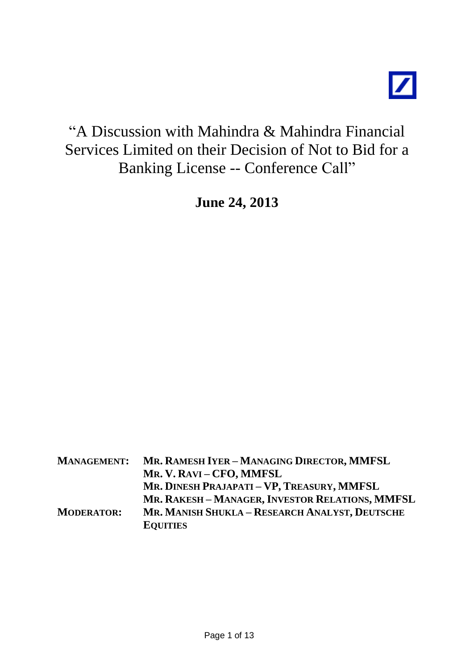# "A Discussion with Mahindra & Mahindra Financial Services Limited on their Decision of Not to Bid for a Banking License -- Conference Call"

**June 24, 2013**

| <b>MANAGEMENT:</b> | MR. RAMESH IYER - MANAGING DIRECTOR, MMFSL      |
|--------------------|-------------------------------------------------|
|                    | MR. V. RAVI – CFO, MMFSL                        |
|                    | MR. DINESH PRAJAPATI - VP, TREASURY, MMFSL      |
|                    | MR. RAKESH - MANAGER, INVESTOR RELATIONS, MMFSL |
| <b>MODERATOR:</b>  | MR. MANISH SHUKLA - RESEARCH ANALYST, DEUTSCHE  |
|                    | <b>EQUITIES</b>                                 |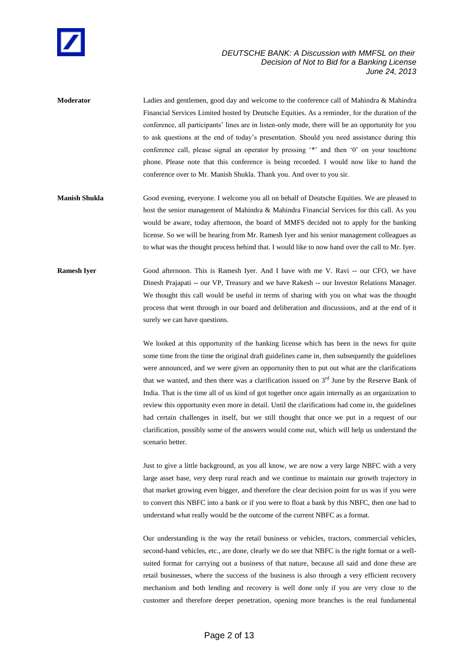

**Moderator** Ladies and gentlemen, good day and welcome to the conference call of Mahindra & Mahindra Financial Services Limited hosted by Deutsche Equities. As a reminder, for the duration of the conference, all participants' lines are in listen-only mode, there will be an opportunity for you to ask questions at the end of today's presentation. Should you need assistance during this conference call, please signal an operator by pressing '\*' and then '0' on your touchtone phone. Please note that this conference is being recorded. I would now like to hand the conference over to Mr. Manish Shukla. Thank you. And over to you sir.

**Manish Shukla** Good evening, everyone. I welcome you all on behalf of Deutsche Equities. We are pleased to host the senior management of Mahindra & Mahindra Financial Services for this call. As you would be aware, today afternoon, the board of MMFS decided not to apply for the banking license. So we will be hearing from Mr. Ramesh Iyer and his senior management colleagues as to what was the thought process behind that. I would like to now hand over the call to Mr. Iyer.

**Ramesh Iyer** Good afternoon. This is Ramesh Iyer. And I have with me V. Ravi -- our CFO, we have Dinesh Prajapati -- our VP, Treasury and we have Rakesh -- our Investor Relations Manager. We thought this call would be useful in terms of sharing with you on what was the thought process that went through in our board and deliberation and discussions, and at the end of it surely we can have questions.

> We looked at this opportunity of the banking license which has been in the news for quite some time from the time the original draft guidelines came in, then subsequently the guidelines were announced, and we were given an opportunity then to put out what are the clarifications that we wanted, and then there was a clarification issued on  $3<sup>rd</sup>$  June by the Reserve Bank of India. That is the time all of us kind of got together once again internally as an organization to review this opportunity even more in detail. Until the clarifications had come in, the guidelines had certain challenges in itself, but we still thought that once we put in a request of our clarification, possibly some of the answers would come out, which will help us understand the scenario better.

> Just to give a little background, as you all know, we are now a very large NBFC with a very large asset base, very deep rural reach and we continue to maintain our growth trajectory in that market growing even bigger, and therefore the clear decision point for us was if you were to convert this NBFC into a bank or if you were to float a bank by this NBFC, then one had to understand what really would be the outcome of the current NBFC as a format.

> Our understanding is the way the retail business or vehicles, tractors, commercial vehicles, second-hand vehicles, etc., are done, clearly we do see that NBFC is the right format or a wellsuited format for carrying out a business of that nature, because all said and done these are retail businesses, where the success of the business is also through a very efficient recovery mechanism and both lending and recovery is well done only if you are very close to the customer and therefore deeper penetration, opening more branches is the real fundamental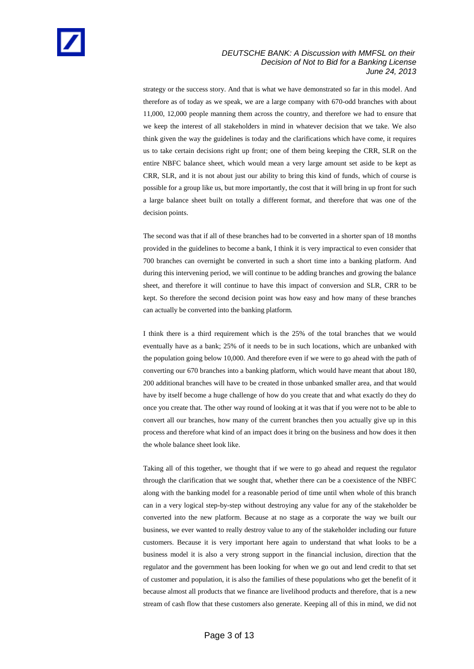strategy or the success story. And that is what we have demonstrated so far in this model. And therefore as of today as we speak, we are a large company with 670-odd branches with about 11,000, 12,000 people manning them across the country, and therefore we had to ensure that we keep the interest of all stakeholders in mind in whatever decision that we take. We also think given the way the guidelines is today and the clarifications which have come, it requires us to take certain decisions right up front; one of them being keeping the CRR, SLR on the entire NBFC balance sheet, which would mean a very large amount set aside to be kept as CRR, SLR, and it is not about just our ability to bring this kind of funds, which of course is possible for a group like us, but more importantly, the cost that it will bring in up front for such a large balance sheet built on totally a different format, and therefore that was one of the decision points.

The second was that if all of these branches had to be converted in a shorter span of 18 months provided in the guidelines to become a bank, I think it is very impractical to even consider that 700 branches can overnight be converted in such a short time into a banking platform. And during this intervening period, we will continue to be adding branches and growing the balance sheet, and therefore it will continue to have this impact of conversion and SLR, CRR to be kept. So therefore the second decision point was how easy and how many of these branches can actually be converted into the banking platform.

I think there is a third requirement which is the 25% of the total branches that we would eventually have as a bank; 25% of it needs to be in such locations, which are unbanked with the population going below 10,000. And therefore even if we were to go ahead with the path of converting our 670 branches into a banking platform, which would have meant that about 180, 200 additional branches will have to be created in those unbanked smaller area, and that would have by itself become a huge challenge of how do you create that and what exactly do they do once you create that. The other way round of looking at it was that if you were not to be able to convert all our branches, how many of the current branches then you actually give up in this process and therefore what kind of an impact does it bring on the business and how does it then the whole balance sheet look like.

Taking all of this together, we thought that if we were to go ahead and request the regulator through the clarification that we sought that, whether there can be a coexistence of the NBFC along with the banking model for a reasonable period of time until when whole of this branch can in a very logical step-by-step without destroying any value for any of the stakeholder be converted into the new platform. Because at no stage as a corporate the way we built our business, we ever wanted to really destroy value to any of the stakeholder including our future customers. Because it is very important here again to understand that what looks to be a business model it is also a very strong support in the financial inclusion, direction that the regulator and the government has been looking for when we go out and lend credit to that set of customer and population, it is also the families of these populations who get the benefit of it because almost all products that we finance are livelihood products and therefore, that is a new stream of cash flow that these customers also generate. Keeping all of this in mind, we did not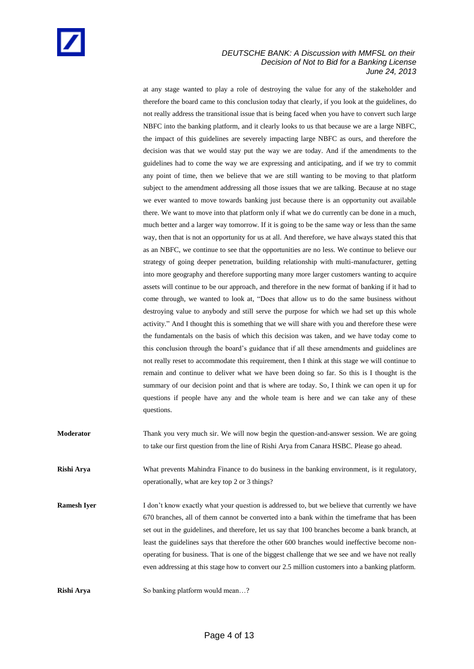at any stage wanted to play a role of destroying the value for any of the stakeholder and therefore the board came to this conclusion today that clearly, if you look at the guidelines, do not really address the transitional issue that is being faced when you have to convert such large NBFC into the banking platform, and it clearly looks to us that because we are a large NBFC, the impact of this guidelines are severely impacting large NBFC as ours, and therefore the decision was that we would stay put the way we are today. And if the amendments to the guidelines had to come the way we are expressing and anticipating, and if we try to commit any point of time, then we believe that we are still wanting to be moving to that platform subject to the amendment addressing all those issues that we are talking. Because at no stage we ever wanted to move towards banking just because there is an opportunity out available there. We want to move into that platform only if what we do currently can be done in a much, much better and a larger way tomorrow. If it is going to be the same way or less than the same way, then that is not an opportunity for us at all. And therefore, we have always stated this that as an NBFC, we continue to see that the opportunities are no less. We continue to believe our strategy of going deeper penetration, building relationship with multi-manufacturer, getting into more geography and therefore supporting many more larger customers wanting to acquire assets will continue to be our approach, and therefore in the new format of banking if it had to come through, we wanted to look at, "Does that allow us to do the same business without destroying value to anybody and still serve the purpose for which we had set up this whole activity." And I thought this is something that we will share with you and therefore these were the fundamentals on the basis of which this decision was taken, and we have today come to this conclusion through the board's guidance that if all these amendments and guidelines are not really reset to accommodate this requirement, then I think at this stage we will continue to remain and continue to deliver what we have been doing so far. So this is I thought is the summary of our decision point and that is where are today. So, I think we can open it up for questions if people have any and the whole team is here and we can take any of these questions.

**Moderator** Thank you very much sir. We will now begin the question-and-answer session. We are going to take our first question from the line of Rishi Arya from Canara HSBC. Please go ahead. **Rishi Arya** What prevents Mahindra Finance to do business in the banking environment, is it regulatory, operationally, what are key top 2 or 3 things? **Ramesh Iyer** I don't know exactly what your question is addressed to, but we believe that currently we have 670 branches, all of them cannot be converted into a bank within the timeframe that has been set out in the guidelines, and therefore, let us say that 100 branches become a bank branch, at least the guidelines says that therefore the other 600 branches would ineffective become nonoperating for business. That is one of the biggest challenge that we see and we have not really even addressing at this stage how to convert our 2.5 million customers into a banking platform. **Rishi Arya** So banking platform would mean...?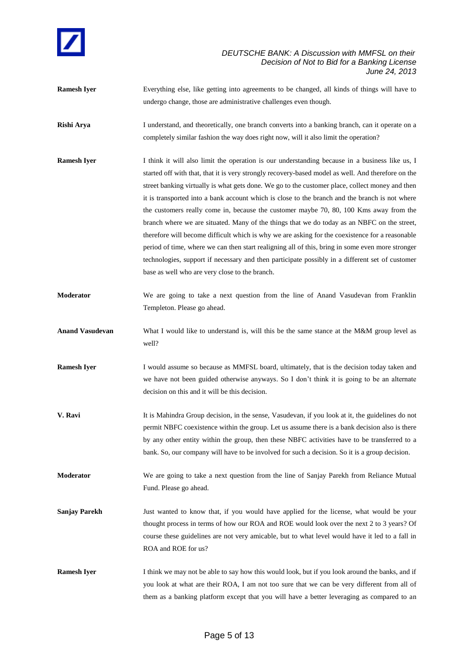

**Ramesh Iyer** Everything else, like getting into agreements to be changed, all kinds of things will have to undergo change, those are administrative challenges even though.

**Rishi Arya** I understand, and theoretically, one branch converts into a banking branch, can it operate on a completely similar fashion the way does right now, will it also limit the operation?

- **Ramesh Iyer** I think it will also limit the operation is our understanding because in a business like us, I started off with that, that it is very strongly recovery-based model as well. And therefore on the street banking virtually is what gets done. We go to the customer place, collect money and then it is transported into a bank account which is close to the branch and the branch is not where the customers really come in, because the customer maybe 70, 80, 100 Kms away from the branch where we are situated. Many of the things that we do today as an NBFC on the street, therefore will become difficult which is why we are asking for the coexistence for a reasonable period of time, where we can then start realigning all of this, bring in some even more stronger technologies, support if necessary and then participate possibly in a different set of customer base as well who are very close to the branch.
- **Moderator** We are going to take a next question from the line of Anand Vasudevan from Franklin Templeton. Please go ahead.
- **Anand Vasudevan** What I would like to understand is, will this be the same stance at the M&M group level as well?
- **Ramesh Iyer** I would assume so because as MMFSL board, ultimately, that is the decision today taken and we have not been guided otherwise anyways. So I don't think it is going to be an alternate decision on this and it will be this decision.
- **V. Ravi** It is Mahindra Group decision, in the sense, Vasudevan, if you look at it, the guidelines do not permit NBFC coexistence within the group. Let us assume there is a bank decision also is there by any other entity within the group, then these NBFC activities have to be transferred to a bank. So, our company will have to be involved for such a decision. So it is a group decision.
- **Moderator** We are going to take a next question from the line of Sanjay Parekh from Reliance Mutual Fund. Please go ahead.
- **Sanjay Parekh** Just wanted to know that, if you would have applied for the license, what would be your thought process in terms of how our ROA and ROE would look over the next 2 to 3 years? Of course these guidelines are not very amicable, but to what level would have it led to a fall in ROA and ROE for us?
- **Ramesh Iyer** I think we may not be able to say how this would look, but if you look around the banks, and if you look at what are their ROA, I am not too sure that we can be very different from all of them as a banking platform except that you will have a better leveraging as compared to an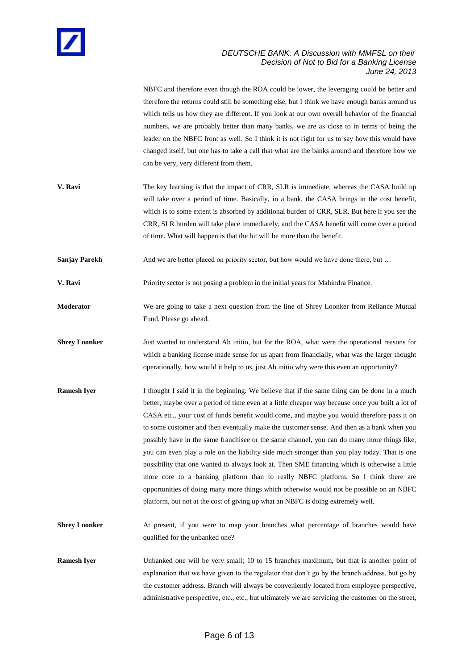NBFC and therefore even though the ROA could be lower, the leveraging could be better and therefore the returns could still be something else, but I think we have enough banks around us which tells us how they are different. If you look at our own overall behavior of the financial numbers, we are probably better than many banks, we are as close to in terms of being the leader on the NBFC front as well. So I think it is not right for us to say how this would have changed itself, but one has to take a call that what are the banks around and therefore how we can be very, very different from them. **V. Ravi** The key learning is that the impact of CRR, SLR is immediate, whereas the CASA build up

- will take over a period of time. Basically, in a bank, the CASA brings in the cost benefit, which is to some extent is absorbed by additional burden of CRR, SLR. But here if you see the CRR, SLR burden will take place immediately, and the CASA benefit will come over a period of time. What will happen is that the hit will be more than the benefit.
- **Sanjay Parekh** And we are better placed on priority sector, but how would we have done there, but ...

**V. Ravi** Priority sector is not posing a problem in the initial years for Mahindra Finance.

- **Moderator** We are going to take a next question from the line of Shrey Loonker from Reliance Mutual Fund. Please go ahead.
- **Shrey Loonker** Just wanted to understand Ab initio, but for the ROA, what were the operational reasons for which a banking license made sense for us apart from financially, what was the larger thought operationally, how would it help to us, just Ab initio why were this even an opportunity?
- **Ramesh Iyer** I thought I said it in the beginning. We believe that if the same thing can be done in a much better, maybe over a period of time even at a little cheaper way because once you built a lot of CASA etc., your cost of funds benefit would come, and maybe you would therefore pass it on to some customer and then eventually make the customer sense. And then as a bank when you possibly have in the same franchisee or the same channel, you can do many more things like, you can even play a role on the liability side much stronger than you play today. That is one possibility that one wanted to always look at. Then SME financing which is otherwise a little more core to a banking platform than to really NBFC platform. So I think there are opportunities of doing many more things which otherwise would not be possible on an NBFC platform, but not at the cost of giving up what an NBFC is doing extremely well.
- **Shrey Loonker** At present, if you were to map your branches what percentage of branches would have qualified for the unbanked one?
- **Ramesh Iyer** Unbanked one will be very small; 10 to 15 branches maximum, but that is another point of explanation that we have given to the regulator that don't go by the branch address, but go by the customer address. Branch will always be conveniently located from employee perspective, administrative perspective, etc., etc., but ultimately we are servicing the customer on the street,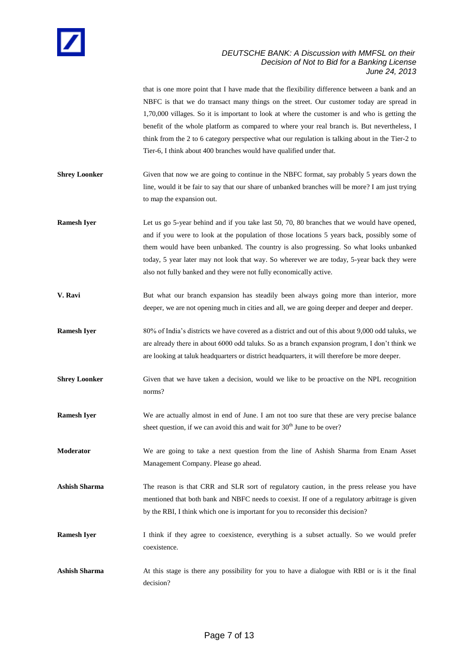that is one more point that I have made that the flexibility difference between a bank and an NBFC is that we do transact many things on the street. Our customer today are spread in 1,70,000 villages. So it is important to look at where the customer is and who is getting the benefit of the whole platform as compared to where your real branch is. But nevertheless, I think from the 2 to 6 category perspective what our regulation is talking about in the Tier-2 to Tier-6, I think about 400 branches would have qualified under that. **Shrey Loonker** Given that now we are going to continue in the NBFC format, say probably 5 years down the line, would it be fair to say that our share of unbanked branches will be more? I am just trying to map the expansion out. **Ramesh Iyer** Let us go 5-year behind and if you take last 50, 70, 80 branches that we would have opened, and if you were to look at the population of those locations 5 years back, possibly some of them would have been unbanked. The country is also progressing. So what looks unbanked today, 5 year later may not look that way. So wherever we are today, 5-year back they were also not fully banked and they were not fully economically active. **V. Ravi** But what our branch expansion has steadily been always going more than interior, more deeper, we are not opening much in cities and all, we are going deeper and deeper and deeper. **Ramesh Iyer** 80% of India's districts we have covered as a district and out of this about 9,000 odd taluks, we are already there in about 6000 odd taluks. So as a branch expansion program, I don't think we are looking at taluk headquarters or district headquarters, it will therefore be more deeper. **Shrey Loonker** Given that we have taken a decision, would we like to be proactive on the NPL recognition norms? **Ramesh Iyer** We are actually almost in end of June. I am not too sure that these are very precise balance sheet question, if we can avoid this and wait for 30<sup>th</sup> June to be over? **Moderator** We are going to take a next question from the line of Ashish Sharma from Enam Asset Management Company. Please go ahead. Ashish Sharma The reason is that CRR and SLR sort of regulatory caution, in the press release you have mentioned that both bank and NBFC needs to coexist. If one of a regulatory arbitrage is given by the RBI, I think which one is important for you to reconsider this decision? **Ramesh Iyer** I think if they agree to coexistence, everything is a subset actually. So we would prefer coexistence. Ashish Sharma **At this stage is there any possibility** for you to have a dialogue with RBI or is it the final decision?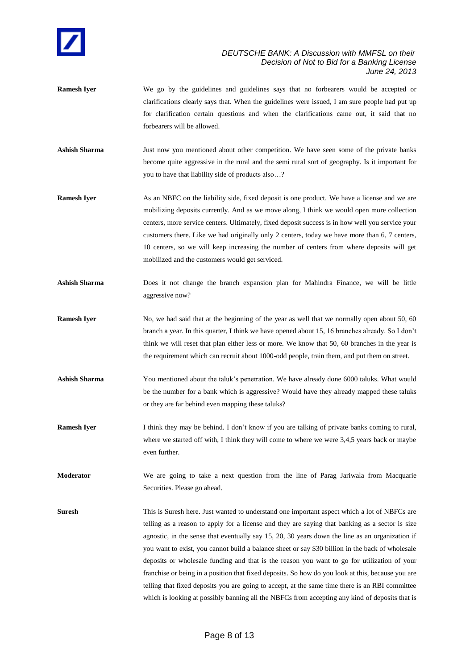

- **Ramesh Iyer** We go by the guidelines and guidelines says that no forbearers would be accepted or clarifications clearly says that. When the guidelines were issued, I am sure people had put up for clarification certain questions and when the clarifications came out, it said that no forbearers will be allowed.
- **Ashish Sharma** Just now you mentioned about other competition. We have seen some of the private banks become quite aggressive in the rural and the semi rural sort of geography. Is it important for you to have that liability side of products also…?
- **Ramesh Iyer** As an NBFC on the liability side, fixed deposit is one product. We have a license and we are mobilizing deposits currently. And as we move along, I think we would open more collection centers, more service centers. Ultimately, fixed deposit success is in how well you service your customers there. Like we had originally only 2 centers, today we have more than 6, 7 centers, 10 centers, so we will keep increasing the number of centers from where deposits will get mobilized and the customers would get serviced.
- **Ashish Sharma** Does it not change the branch expansion plan for Mahindra Finance, we will be little aggressive now?
- **Ramesh Iver** No, we had said that at the beginning of the year as well that we normally open about 50, 60 branch a year. In this quarter, I think we have opened about 15, 16 branches already. So I don't think we will reset that plan either less or more. We know that 50, 60 branches in the year is the requirement which can recruit about 1000-odd people, train them, and put them on street.
- Ashish Sharma You mentioned about the taluk's penetration. We have already done 6000 taluks. What would be the number for a bank which is aggressive? Would have they already mapped these taluks or they are far behind even mapping these taluks?
- **Ramesh Iyer** I think they may be behind. I don't know if you are talking of private banks coming to rural, where we started off with, I think they will come to where we were 3,4,5 years back or maybe even further.
- **Moderator** We are going to take a next question from the line of Parag Jariwala from Macquarie Securities. Please go ahead.
- **Suresh This is Suresh here. Just wanted to understand one important aspect which a lot of NBFCs are** telling as a reason to apply for a license and they are saying that banking as a sector is size agnostic, in the sense that eventually say 15, 20, 30 years down the line as an organization if you want to exist, you cannot build a balance sheet or say \$30 billion in the back of wholesale deposits or wholesale funding and that is the reason you want to go for utilization of your franchise or being in a position that fixed deposits. So how do you look at this, because you are telling that fixed deposits you are going to accept, at the same time there is an RBI committee which is looking at possibly banning all the NBFCs from accepting any kind of deposits that is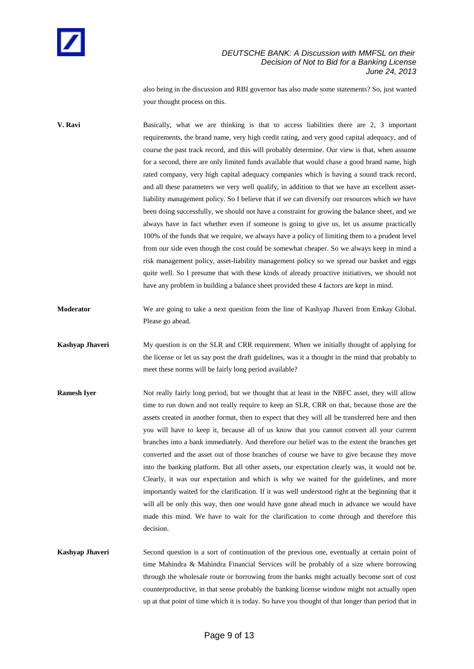also being in the discussion and RBI governor has also made some statements? So, just wanted your thought process on this.

**V. Ravi** Basically, what we are thinking is that to access liabilities there are 2, 3 important requirements, the brand name, very high credit rating, and very good capital adequacy, and of course the past track record, and this will probably determine. Our view is that, when assume for a second, there are only limited funds available that would chase a good brand name, high rated company, very high capital adequacy companies which is having a sound track record, and all these parameters we very well qualify, in addition to that we have an excellent assetliability management policy. So I believe that if we can diversify our resources which we have been doing successfully, we should not have a constraint for growing the balance sheet, and we always have in fact whether even if someone is going to give us, let us assume practically 100% of the funds that we require, we always have a policy of limiting them to a prudent level from our side even though the cost could be somewhat cheaper. So we always keep in mind a risk management policy, asset-liability management policy so we spread our basket and eggs quite well. So I presume that with these kinds of already proactive initiatives, we should not have any problem in building a balance sheet provided these 4 factors are kept in mind.

**Moderator** We are going to take a next question from the line of Kashyap Jhaveri from Emkay Global. Please go ahead.

**Kashyap Jhaveri** My question is on the SLR and CRR requirement. When we initially thought of applying for the license or let us say post the draft guidelines, was it a thought in the mind that probably to meet these norms will be fairly long period available?

**Ramesh Iyer** Not really fairly long period, but we thought that at least in the NBFC asset, they will allow time to run down and not really require to keep an SLR, CRR on that, because those are the assets created in another format, then to expect that they will all be transferred here and then you will have to keep it, because all of us know that you cannot convert all your current branches into a bank immediately. And therefore our belief was to the extent the branches get converted and the asset out of those branches of course we have to give because they move into the banking platform. But all other assets, our expectation clearly was, it would not be. Clearly, it was our expectation and which is why we waited for the guidelines, and more importantly waited for the clarification. If it was well understood right at the beginning that it will all be only this way, then one would have gone ahead much in advance we would have made this mind. We have to wait for the clarification to come through and therefore this decision.

**Kashyap Jhaveri** Second question is a sort of continuation of the previous one, eventually at certain point of time Mahindra & Mahindra Financial Services will be probably of a size where borrowing through the wholesale route or borrowing from the banks might actually become sort of cost counterproductive, in that sense probably the banking license window might not actually open up at that point of time which it is today. So have you thought of that longer than period that in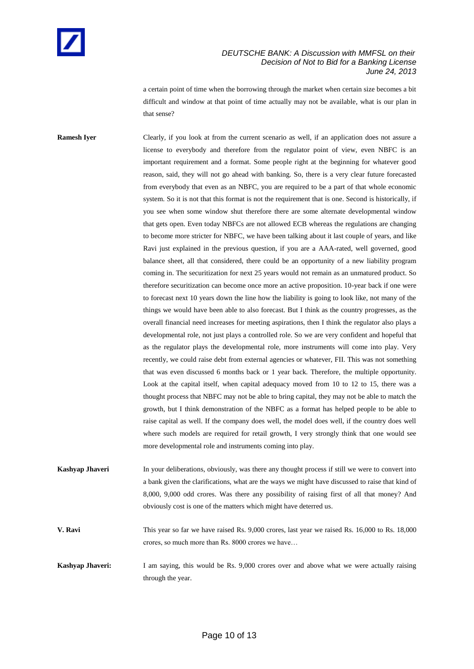a certain point of time when the borrowing through the market when certain size becomes a bit difficult and window at that point of time actually may not be available, what is our plan in that sense?

**Ramesh Iyer** Clearly, if you look at from the current scenario as well, if an application does not assure a license to everybody and therefore from the regulator point of view, even NBFC is an important requirement and a format. Some people right at the beginning for whatever good reason, said, they will not go ahead with banking. So, there is a very clear future forecasted from everybody that even as an NBFC, you are required to be a part of that whole economic system. So it is not that this format is not the requirement that is one. Second is historically, if you see when some window shut therefore there are some alternate developmental window that gets open. Even today NBFCs are not allowed ECB whereas the regulations are changing to become more stricter for NBFC, we have been talking about it last couple of years, and like Ravi just explained in the previous question, if you are a AAA-rated, well governed, good balance sheet, all that considered, there could be an opportunity of a new liability program coming in. The securitization for next 25 years would not remain as an unmatured product. So therefore securitization can become once more an active proposition. 10-year back if one were to forecast next 10 years down the line how the liability is going to look like, not many of the things we would have been able to also forecast. But I think as the country progresses, as the overall financial need increases for meeting aspirations, then I think the regulator also plays a developmental role, not just plays a controlled role. So we are very confident and hopeful that as the regulator plays the developmental role, more instruments will come into play. Very recently, we could raise debt from external agencies or whatever, FII. This was not something that was even discussed 6 months back or 1 year back. Therefore, the multiple opportunity. Look at the capital itself, when capital adequacy moved from 10 to 12 to 15, there was a thought process that NBFC may not be able to bring capital, they may not be able to match the growth, but I think demonstration of the NBFC as a format has helped people to be able to raise capital as well. If the company does well, the model does well, if the country does well where such models are required for retail growth, I very strongly think that one would see more developmental role and instruments coming into play.

**Kashyap Jhaveri** In your deliberations, obviously, was there any thought process if still we were to convert into a bank given the clarifications, what are the ways we might have discussed to raise that kind of 8,000, 9,000 odd crores. Was there any possibility of raising first of all that money? And obviously cost is one of the matters which might have deterred us.

**V. Ravi** This year so far we have raised Rs. 9,000 crores, last year we raised Rs. 16,000 to Rs. 18,000 crores, so much more than Rs. 8000 crores we have…

**Kashyap Jhaveri:** I am saying, this would be Rs. 9,000 crores over and above what we were actually raising through the year.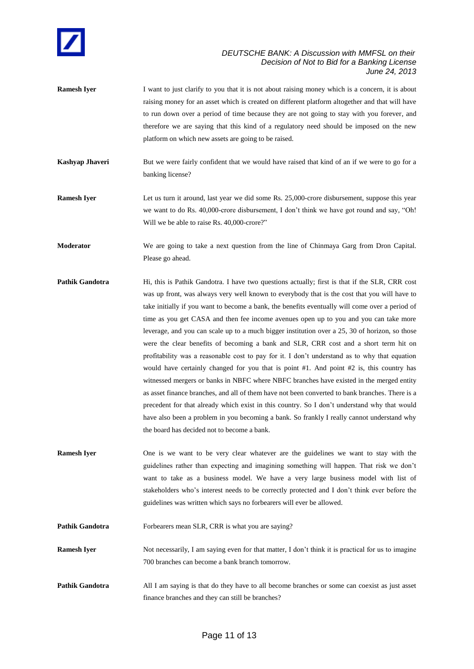

- **Ramesh Iyer** I want to just clarify to you that it is not about raising money which is a concern, it is about raising money for an asset which is created on different platform altogether and that will have to run down over a period of time because they are not going to stay with you forever, and therefore we are saying that this kind of a regulatory need should be imposed on the new platform on which new assets are going to be raised.
- **Kashyap Jhaveri** But we were fairly confident that we would have raised that kind of an if we were to go for a banking license?
- **Ramesh Iyer** Let us turn it around, last year we did some Rs. 25,000-crore disbursement, suppose this year we want to do Rs. 40,000-crore disbursement, I don't think we have got round and say, "Oh! Will we be able to raise Rs. 40,000-crore?"
- **Moderator** We are going to take a next question from the line of Chinmaya Garg from Dron Capital. Please go ahead.
- **Pathik Gandotra** Hi, this is Pathik Gandotra. I have two questions actually; first is that if the SLR, CRR cost was up front, was always very well known to everybody that is the cost that you will have to take initially if you want to become a bank, the benefits eventually will come over a period of time as you get CASA and then fee income avenues open up to you and you can take more leverage, and you can scale up to a much bigger institution over a 25, 30 of horizon, so those were the clear benefits of becoming a bank and SLR, CRR cost and a short term hit on profitability was a reasonable cost to pay for it. I don't understand as to why that equation would have certainly changed for you that is point #1. And point #2 is, this country has witnessed mergers or banks in NBFC where NBFC branches have existed in the merged entity as asset finance branches, and all of them have not been converted to bank branches. There is a precedent for that already which exist in this country. So I don't understand why that would have also been a problem in you becoming a bank. So frankly I really cannot understand why the board has decided not to become a bank.
- **Ramesh Iyer** One is we want to be very clear whatever are the guidelines we want to stay with the guidelines rather than expecting and imagining something will happen. That risk we don't want to take as a business model. We have a very large business model with list of stakeholders who's interest needs to be correctly protected and I don't think ever before the guidelines was written which says no forbearers will ever be allowed.
- **Pathik Gandotra** Forbearers mean SLR, CRR is what you are saying?
- **Ramesh Iyer** Not necessarily, I am saying even for that matter, I don't think it is practical for us to imagine 700 branches can become a bank branch tomorrow.
- **Pathik Gandotra** All I am saying is that do they have to all become branches or some can coexist as just asset finance branches and they can still be branches?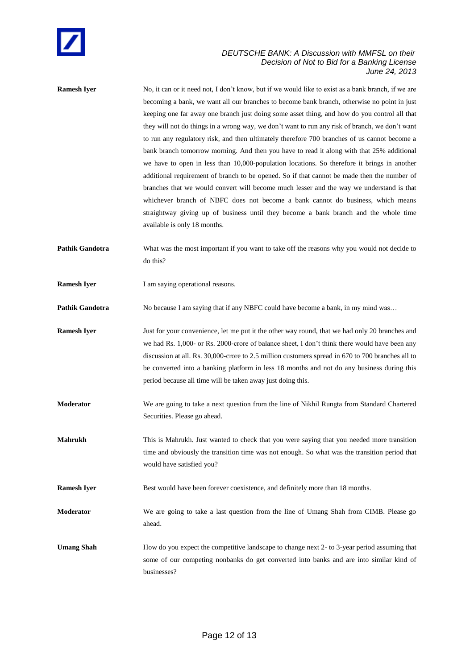

**Ramesh Iyer** No, it can or it need not, I don't know, but if we would like to exist as a bank branch, if we are becoming a bank, we want all our branches to become bank branch, otherwise no point in just keeping one far away one branch just doing some asset thing, and how do you control all that they will not do things in a wrong way, we don't want to run any risk of branch, we don't want to run any regulatory risk, and then ultimately therefore 700 branches of us cannot become a bank branch tomorrow morning. And then you have to read it along with that 25% additional we have to open in less than 10,000-population locations. So therefore it brings in another additional requirement of branch to be opened. So if that cannot be made then the number of branches that we would convert will become much lesser and the way we understand is that whichever branch of NBFC does not become a bank cannot do business, which means straightway giving up of business until they become a bank branch and the whole time available is only 18 months.

**Pathik Gandotra** What was the most important if you want to take off the reasons why you would not decide to do this?

**Ramesh Iyer** I am saying operational reasons.

**Pathik Gandotra** No because I am saying that if any NBFC could have become a bank, in my mind was...

**Ramesh Iyer** Just for your convenience, let me put it the other way round, that we had only 20 branches and we had Rs. 1,000- or Rs. 2000-crore of balance sheet, I don't think there would have been any discussion at all. Rs. 30,000-crore to 2.5 million customers spread in 670 to 700 branches all to be converted into a banking platform in less 18 months and not do any business during this period because all time will be taken away just doing this.

- **Moderator** We are going to take a next question from the line of Nikhil Rungta from Standard Chartered Securities. Please go ahead.
- **Mahrukh** This is Mahrukh. Just wanted to check that you were saying that you needed more transition time and obviously the transition time was not enough. So what was the transition period that would have satisfied you?

**Ramesh Iyer** Best would have been forever coexistence, and definitely more than 18 months.

**Moderator** We are going to take a last question from the line of Umang Shah from CIMB. Please go ahead.

**Umang Shah** How do you expect the competitive landscape to change next 2- to 3-year period assuming that some of our competing nonbanks do get converted into banks and are into similar kind of businesses?